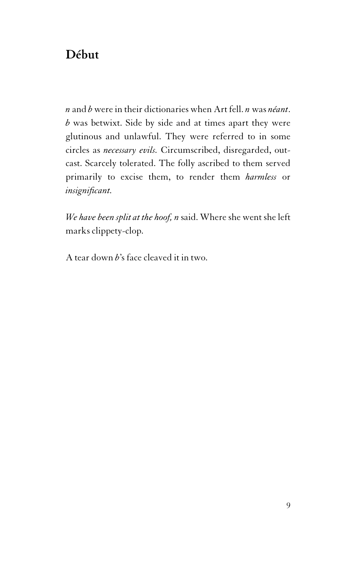## **Début**

*n* and *b* were in their dictionaries when Art fell. *n* was *néant*. *b* was betwixt. Side by side and at times apart they were glutinous and unlawful. They were referred to in some circles as *necessary evils.* Circumscribed, disregarded, outcast. Scarcely tolerated. The folly ascribed to them served primarily to excise them, to render them *harmless* or *insignificant.*

*We have been split at the hoof, n* said. Where she went she left marks clippety-clop.

A tear down *b*'s face cleaved it in two.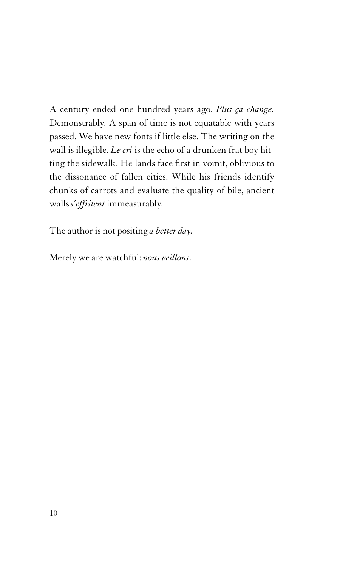A century ended one hundred years ago. *Plus ça change.* Demonstrably. A span of time is not equatable with years passed. We have new fonts if little else. The writing on the wall is illegible. *Le cri* is the echo of a drunken frat boy hitting the sidewalk. He lands face first in vomit, oblivious to the dissonance of fallen cities. While his friends identify chunks of carrots and evaluate the quality of bile, ancient walls *s'effritent* immeasurably.

The author is not positing *a better day.*

Merely we are watchful: *nous veillons*.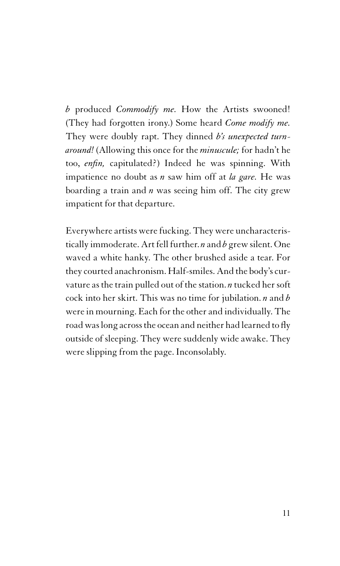*b* produced *Commodify me.* How the Artists swooned! (They had forgotten irony.) Some heard *Come modify me.* They were doubly rapt. They dinned *b's unexpected turnaround!* (Allowing this once for the *minuscule;* for hadn't he too, *enfin,* capitulated?) Indeed he was spinning. With impatience no doubt as *n* saw him off at *la gare.* He was boarding a train and *n* was seeing him off. The city grew impatient for that departure.

Everywhere artists were fucking. They were uncharacteristically immoderate. Art fell further. *n* and *b* grew silent. One waved a white hanky. The other brushed aside a tear. For they courted anachronism. Half-smiles. And the body's curvature as the train pulled out of the station. *n* tucked her soft cock into her skirt. This was no time for jubilation. *n* and *b* were in mourning. Each for the other and individually. The road waslong acrossthe ocean and neither had learned to fly outside of sleeping. They were suddenly wide awake. They were slipping from the page. Inconsolably.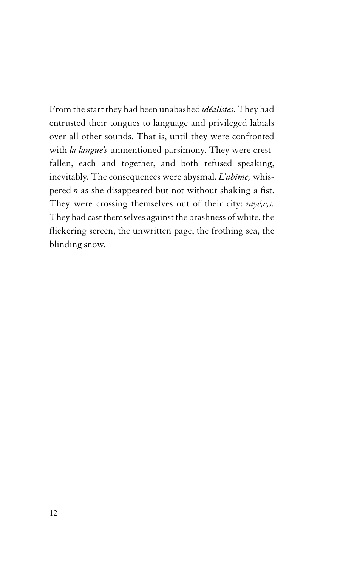From the start they had been unabashed *idéalistes.* They had entrusted their tongues to language and privileged labials over all other sounds. That is, until they were confronted with *la langue's* unmentioned parsimony. They were crestfallen, each and together, and both refused speaking, inevitably. The consequences were abysmal. *L'abîme,* whispered *n* as she disappeared but not without shaking a fist. They were crossing themselves out of their city: *rayé,e,s.* They had cast themselves against the brashness of white, the flickering screen, the unwritten page, the frothing sea, the blinding snow.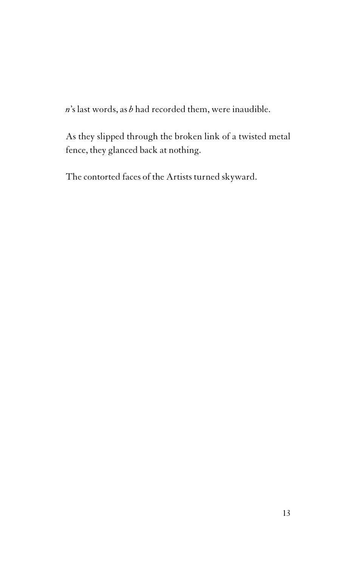*n*'s last words, as *b* had recorded them, were inaudible.

As they slipped through the broken link of a twisted metal fence, they glanced back at nothing.

The contorted faces of the Artists turned skyward.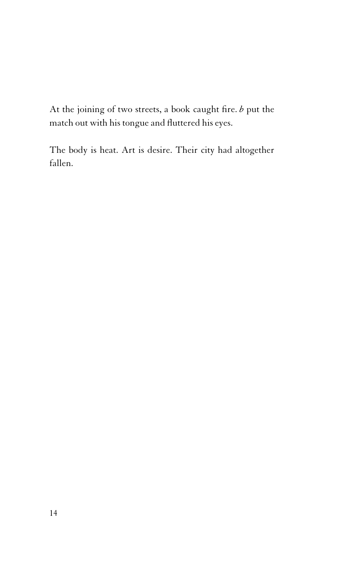At the joining of two streets, a book caught fire. *b* put the match out with his tongue and fluttered his eyes.

The body is heat. Art is desire. Their city had altogether fallen.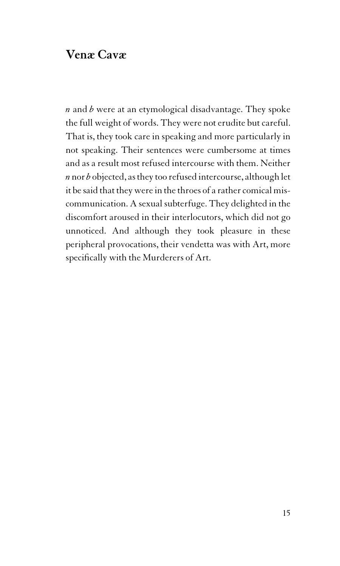## **Venæ Cavæ**

*n* and *b* were at an etymological disadvantage. They spoke the full weight of words. They were not erudite but careful. That is, they took care in speaking and more particularly in not speaking. Their sentences were cumbersome at times and as a result most refused intercourse with them. Neither *n* nor *b* objected, asthey too refused intercourse, although let it be said that they were in the throes of a rather comical miscommunication. A sexual subterfuge. They delighted in the discomfort aroused in their interlocutors, which did not go unnoticed. And although they took pleasure in these peripheral provocations, their vendetta was with Art, more specifically with the Murderers of Art.